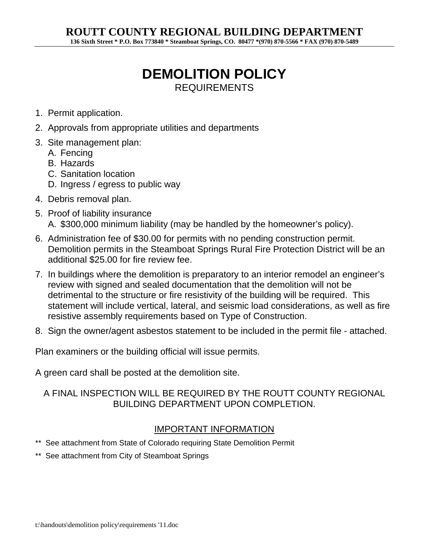# **DEMOLITION POLICY**  REQUIREMENTS

- 1. Permit application.
- 2. Approvals from appropriate utilities and departments
- 3. Site management plan:
	- A. Fencing
	- B. Hazards
	- C. Sanitation location
	- D. Ingress / egress to public way
- 4. Debris removal plan.
- 5. Proof of liability insurance A. \$300,000 minimum liability (may be handled by the homeowner's policy).
- 6. Administration fee of \$30.00 for permits with no pending construction permit. Demolition permits in the Steamboat Springs Rural Fire Protection District will be an additional \$25.00 for fire review fee.
- 7. In buildings where the demolition is preparatory to an interior remodel an engineer's review with signed and sealed documentation that the demolition will not be detrimental to the structure or fire resistivity of the building will be required. This statement will include vertical, lateral, and seismic load considerations, as well as fire resistive assembly requirements based on Type of Construction.
- 8. Sign the owner/agent asbestos statement to be included in the permit file attached.

Plan examiners or the building official will issue permits.

A green card shall be posted at the demolition site.

#### A FINAL INSPECTION WILL BE REQUIRED BY THE ROUTT COUNTY REGIONAL BUILDING DEPARTMENT UPON COMPLETION.

#### IMPORTANT INFORMATION

- \*\* See attachment from State of Colorado requiring State Demolition Permit
- \*\* See attachment from City of Steamboat Springs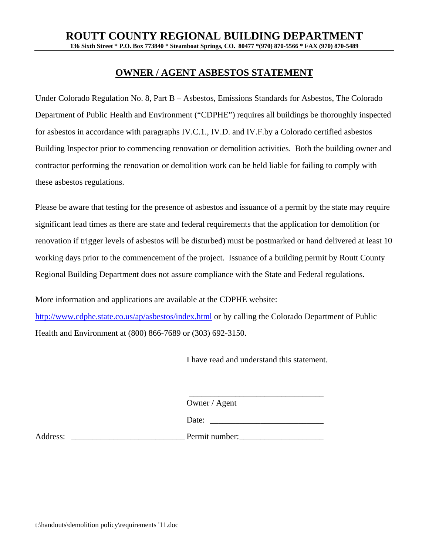### **OWNER / AGENT ASBESTOS STATEMENT**

Under Colorado Regulation No. 8, Part B – Asbestos, Emissions Standards for Asbestos, The Colorado Department of Public Health and Environment ("CDPHE") requires all buildings be thoroughly inspected for asbestos in accordance with paragraphs IV.C.1., IV.D. and IV.F.by a Colorado certified asbestos Building Inspector prior to commencing renovation or demolition activities. Both the building owner and contractor performing the renovation or demolition work can be held liable for failing to comply with these asbestos regulations.

Please be aware that testing for the presence of asbestos and issuance of a permit by the state may require significant lead times as there are state and federal requirements that the application for demolition (or renovation if trigger levels of asbestos will be disturbed) must be postmarked or hand delivered at least 10 working days prior to the commencement of the project. Issuance of a building permit by Routt County Regional Building Department does not assure compliance with the State and Federal regulations.

More information and applications are available at the CDPHE website:

http://www.cdphe.state.co.us/ap/asbestos/index.html or by calling the Colorado Department of Public Health and Environment at (800) 866-7689 or (303) 692-3150.

I have read and understand this statement.

Owner / Agent

 $\frac{1}{\sqrt{2}}$  ,  $\frac{1}{\sqrt{2}}$  ,  $\frac{1}{\sqrt{2}}$  ,  $\frac{1}{\sqrt{2}}$  ,  $\frac{1}{\sqrt{2}}$  ,  $\frac{1}{\sqrt{2}}$  ,  $\frac{1}{\sqrt{2}}$  ,  $\frac{1}{\sqrt{2}}$  ,  $\frac{1}{\sqrt{2}}$  ,  $\frac{1}{\sqrt{2}}$  ,  $\frac{1}{\sqrt{2}}$  ,  $\frac{1}{\sqrt{2}}$  ,  $\frac{1}{\sqrt{2}}$  ,  $\frac{1}{\sqrt{2}}$  ,  $\frac{1}{\sqrt{2}}$ 

| $- \cdot -$ |  |
|-------------|--|
|-------------|--|

Address: \_\_\_\_\_\_\_\_\_\_\_\_\_\_\_\_\_\_\_\_\_\_\_\_\_\_\_ Permit number: \_\_\_\_\_\_\_\_\_\_\_\_\_\_\_\_\_\_\_\_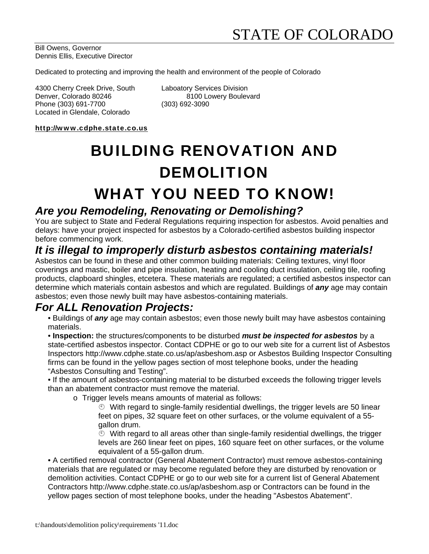Bill Owens, Governor Dennis Ellis, Executive Director

Dedicated to protecting and improving the health and environment of the people of Colorado

4300 Cherry Creek Drive, South Laboatory Services Division Denver, Colorado 80246 8100 Lowery Boulevard Phone (303) 691-7700 (303) 692-3090 Located in Glendale, Colorado

http://www.cdphe.state.co.us

# BUILDING RENOVATION AND DEMOLITION

# WHAT YOU NEED TO KNOW!

### *Are you Remodeling, Renovating or Demolishing?*

You are subject to State and Federal Regulations requiring inspection for asbestos. Avoid penalties and delays: have your project inspected for asbestos by a Colorado-certified asbestos building inspector before commencing work.

# *It is illegal to improperly disturb asbestos containing materials!*

Asbestos can be found in these and other common building materials: Ceiling textures, vinyl floor coverings and mastic, boiler and pipe insulation, heating and cooling duct insulation, ceiling tile, roofing products, clapboard shingles, etcetera. These materials are regulated; a certified asbestos inspector can determine which materials contain asbestos and which are regulated. Buildings of *any* age may contain asbestos; even those newly built may have asbestos-containing materials.

## *For ALL Renovation Projects:*

- Buildings of *any* age may contain asbestos; even those newly built may have asbestos containing materials.
- **Inspection:** the structures/components to be disturbed *must be inspected for asbestos* by a state-certified asbestos inspector. Contact CDPHE or go to our web site for a current list of Asbestos Inspectors http://www.cdphe.state.co.us/ap/asbeshom.asp or Asbestos Building Inspector Consulting firms can be found in the yellow pages section of most telephone books, under the heading "Asbestos Consulting and Testing".

 • If the amount of asbestos-containing material to be disturbed exceeds the following trigger levels than an abatement contractor must remove the material.

o Trigger levels means amounts of material as follows:

 With regard to single-family residential dwellings, the trigger levels are 50 linear feet on pipes, 32 square feet on other surfaces, or the volume equivalent of a 55 gallon drum.

 $\degree$  With regard to all areas other than single-family residential dwellings, the trigger levels are 260 linear feet on pipes, 160 square feet on other surfaces, or the volume equivalent of a 55-gallon drum.

 • A certified removal contractor (General Abatement Contractor) must remove asbestos-containing materials that are regulated or may become regulated before they are disturbed by renovation or demolition activities. Contact CDPHE or go to our web site for a current list of General Abatement Contractors http://www.cdphe.state.co.us/ap/asbeshom.asp or Contractors can be found in the yellow pages section of most telephone books, under the heading "Asbestos Abatement".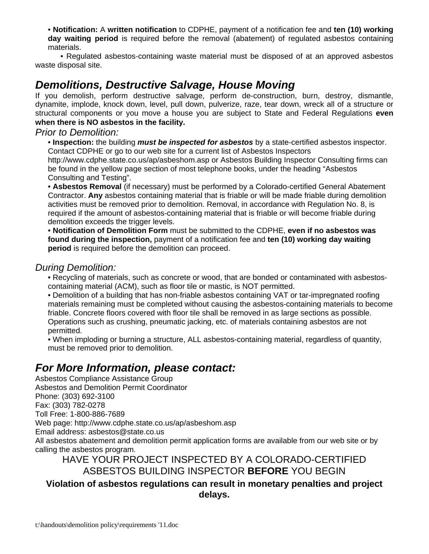• **Notification:** A **written notification** to CDPHE, payment of a notification fee and **ten (10) working day waiting period** is required before the removal (abatement) of regulated asbestos containing materials.

 • Regulated asbestos-containing waste material must be disposed of at an approved asbestos waste disposal site.

# *Demolitions, Destructive Salvage, House Moving*

If you demolish, perform destructive salvage, perform de-construction, burn, destroy, dismantle, dynamite, implode, knock down, level, pull down, pulverize, raze, tear down, wreck all of a structure or structural components or you move a house you are subject to State and Federal Regulations **even when there is NO asbestos in the facility.** 

#### *Prior to Demolition:*

 • **Inspection:** the building *must be inspected for asbestos* by a state-certified asbestos inspector. Contact CDPHE or go to our web site for a current list of Asbestos Inspectors

http://www.cdphe.state.co.us/ap/asbeshom.asp or Asbestos Building Inspector Consulting firms can be found in the yellow page section of most telephone books, under the heading "Asbestos Consulting and Testing".

 • **Asbestos Removal** (if necessary) must be performed by a Colorado-certified General Abatement Contractor. **Any** asbestos containing material that is friable or will be made friable during demolition activities must be removed prior to demolition. Removal, in accordance with Regulation No. 8, is required if the amount of asbestos-containing material that is friable or will become friable during demolition exceeds the trigger levels.

 • **Notification of Demolition Form** must be submitted to the CDPHE, **even if no asbestos was found during the inspection,** payment of a notification fee and **ten (10) working day waiting period** is required before the demolition can proceed.

#### *During Demolition:*

 • Recycling of materials, such as concrete or wood, that are bonded or contaminated with asbestoscontaining material (ACM), such as floor tile or mastic, is NOT permitted.

 • Demolition of a building that has non-friable asbestos containing VAT or tar-impregnated roofing materials remaining must be completed without causing the asbestos-containing materials to become friable. Concrete floors covered with floor tile shall be removed in as large sections as possible. Operations such as crushing, pneumatic jacking, etc. of materials containing asbestos are not permitted.

 • When imploding or burning a structure, ALL asbestos-containing material, regardless of quantity, must be removed prior to demolition.

# *For More Information, please contact:*

Asbestos Compliance Assistance Group Asbestos and Demolition Permit Coordinator

Phone: (303) 692-3100

Fax: (303) 782-0278

Toll Free: 1-800-886-7689

Web page: http://www.cdphe.state.co.us/ap/asbeshom.asp

Email address: asbestos@state.co.us

All asbestos abatement and demolition permit application forms are available from our web site or by calling the asbestos program.

#### HAVE YOUR PROJECT INSPECTED BY A COLORADO-CERTIFIED ASBESTOS BUILDING INSPECTOR **BEFORE** YOU BEGIN

### **Violation of asbestos regulations can result in monetary penalties and project delays.**